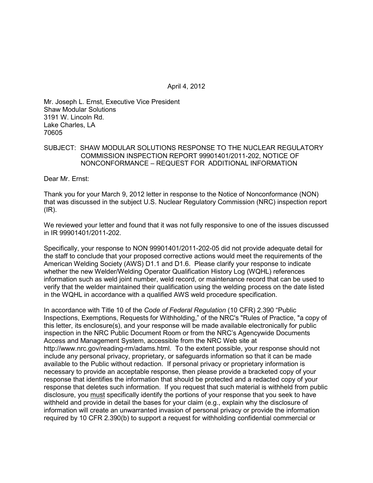April 4, 2012

Mr. Joseph L. Ernst, Executive Vice President Shaw Modular Solutions 3191 W. Lincoln Rd. Lake Charles, LA 70605

## SUBJECT: SHAW MODULAR SOLUTIONS RESPONSE TO THE NUCLEAR REGULATORY COMMISSION INSPECTION REPORT 99901401/2011-202, NOTICE OF NONCONFORMANCE – REQUEST FOR ADDITIONAL INFORMATION

Dear Mr. Ernst:

Thank you for your March 9, 2012 letter in response to the Notice of Nonconformance (NON) that was discussed in the subject U.S. Nuclear Regulatory Commission (NRC) inspection report  $(IR)$ .

We reviewed your letter and found that it was not fully responsive to one of the issues discussed in IR 99901401/2011-202.

Specifically, your response to NON 99901401/2011-202-05 did not provide adequate detail for the staff to conclude that your proposed corrective actions would meet the requirements of the American Welding Society (AWS) D1.1 and D1.6. Please clarify your response to indicate whether the new Welder/Welding Operator Qualification History Log (WQHL) references information such as weld joint number, weld record, or maintenance record that can be used to verify that the welder maintained their qualification using the welding process on the date listed in the WQHL in accordance with a qualified AWS weld procedure specification.

In accordance with Title 10 of the *Code of Federal Regulation* (10 CFR) 2.390 "Public Inspections, Exemptions, Requests for Withholding," of the NRC's "Rules of Practice, "a copy of this letter, its enclosure(s), and your response will be made available electronically for public inspection in the NRC Public Document Room or from the NRC's Agencywide Documents Access and Management System, accessible from the NRC Web site at http://www.nrc.gov/reading-rm/adams.html. To the extent possible, your response should not include any personal privacy, proprietary, or safeguards information so that it can be made available to the Public without redaction. If personal privacy or proprietary information is necessary to provide an acceptable response, then please provide a bracketed copy of your response that identifies the information that should be protected and a redacted copy of your response that deletes such information. If you request that such material is withheld from public disclosure, you must specifically identify the portions of your response that you seek to have withheld and provide in detail the bases for your claim (e.g., explain why the disclosure of information will create an unwarranted invasion of personal privacy or provide the information required by 10 CFR 2.390(b) to support a request for withholding confidential commercial or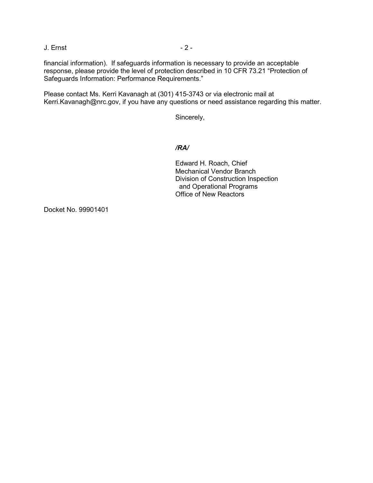J. Ernst - 2 -

financial information). If safeguards information is necessary to provide an acceptable response, please provide the level of protection described in 10 CFR 73.21 "Protection of Safeguards Information: Performance Requirements."

Please contact Ms. Kerri Kavanagh at (301) 415-3743 or via electronic mail at Kerri.Kavanagh@nrc.gov, if you have any questions or need assistance regarding this matter.

Sincerely,

## */RA/*

Edward H. Roach, Chief Mechanical Vendor Branch Division of Construction Inspection and Operational Programs Office of New Reactors

Docket No. 99901401